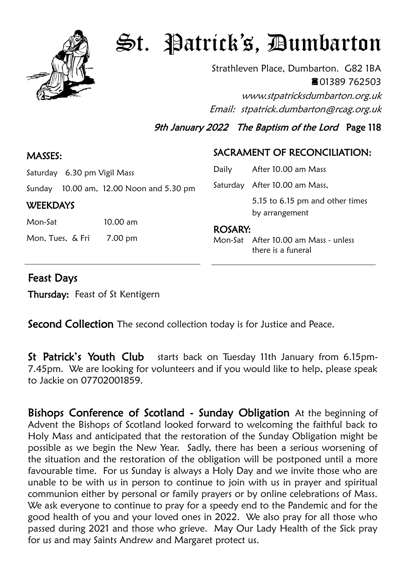

## St. Patrick's, Dumbarton

Strathleven Place, Dumbarton. G82 1BA ■01389 762503 www.stpatricksdumbarton.org.uk Email: stpatrick.dumbarton@rcag.org.uk

9th January 2022 The Baptism of the Lord Page 118

## SACRAMENT OF RECONCILIATION:

| Daily          | After 10.00 am Mass                                        |
|----------------|------------------------------------------------------------|
|                | Saturday After 10.00 am Mass,                              |
|                | 5.15 to 6.15 pm and other times<br>by arrangement          |
| <b>ROSARY:</b> | Mon-Sat After 10.00 am Mass - unless<br>there is a funeral |

## Feast Days

**WEEKDAYS** 

Thursday: Feast of St Kentigern

Saturday 6.30 pm Vigil Mass

Mon-Sat 10.00 am

Mon, Tues, & Fri 7.00 pm

Sunday 10.00 am, 12.00 Noon and 5.30 pm

**Second Collection** The second collection today is for Justice and Peace.

St Patrick's Youth Club starts back on Tuesday 11th January from 6.15pm-7.45pm. We are looking for volunteers and if you would like to help, please speak to Jackie on 07702001859.

Bishops Conference of Scotland - Sunday Obligation At the beginning of Advent the Bishops of Scotland looked forward to welcoming the faithful back to Holy Mass and anticipated that the restoration of the Sunday Obligation might be possible as we begin the New Year. Sadly, there has been a serious worsening of the situation and the restoration of the obligation will be postponed until a more favourable time. For us Sunday is always a Holy Day and we invite those who are unable to be with us in person to continue to join with us in prayer and spiritual communion either by personal or family prayers or by online celebrations of Mass. We ask everyone to continue to pray for a speedy end to the Pandemic and for the good health of you and your loved ones in 2022. We also pray for all those who passed during 2021 and those who grieve. May Our Lady Health of the Sick pray for us and may Saints Andrew and Margaret protect us.

## MASSES: